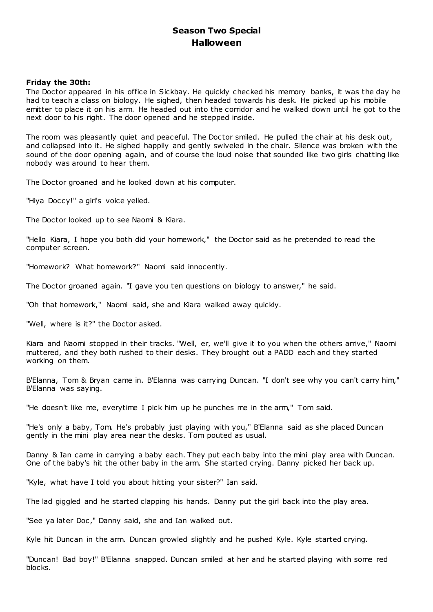# **Season Two Special Halloween**

# **Friday the 30th:**

The Doctor appeared in his office in Sickbay. He quickly checked his memory banks, it was the day he had to teach a class on biology. He sighed, then headed towards his desk. He picked up his mobile emitter to place it on his arm. He headed out into the corridor and he walked down until he got to the next door to his right. The door opened and he stepped inside.

The room was pleasantly quiet and peaceful. The Doctor smiled. He pulled the chair at his desk out, and collapsed into it. He sighed happily and gently swiveled in the chair. Silence was broken with the sound of the door opening again, and of course the loud noise that sounded like two girls chatting like nobody was around to hear them.

The Doctor groaned and he looked down at his computer.

"Hiya Doccy!" a girl's voice yelled.

The Doctor looked up to see Naomi & Kiara.

"Hello Kiara, I hope you both did your homework," the Doctor said as he pretended to read the computer screen.

"Homework? What homework?" Naomi said innocently.

The Doctor groaned again. "I gave you ten questions on biology to answer," he said.

"Oh that homework," Naomi said, she and Kiara walked away quickly.

"Well, where is it?" the Doctor asked.

Kiara and Naomi stopped in their tracks. "Well, er, we'll give it to you when the others arrive," Naomi muttered, and they both rushed to their desks. They brought out a PADD each and they started working on them.

B'Elanna, Tom & Bryan came in. B'Elanna was carrying Duncan. "I don't see why you can't carry him," B'Elanna was saying.

"He doesn't like me, everytime I pick him up he punches me in the arm," Tom said.

"He's only a baby, Tom. He's probably just playing with you," B'Elanna said as she placed Duncan gently in the mini play area near the desks. Tom pouted as usual.

Danny & Ian came in carrying a baby each. They put each baby into the mini play area with Duncan. One of the baby's hit the other baby in the arm. She started crying. Danny picked her back up.

"Kyle, what have I told you about hitting your sister?" Ian said.

The lad giggled and he started clapping his hands. Danny put the girl back into the play area.

"See ya later Doc," Danny said, she and Ian walked out.

Kyle hit Duncan in the arm. Duncan growled slightly and he pushed Kyle. Kyle started crying.

"Duncan! Bad boy!" B'Elanna snapped. Duncan smiled at her and he started playing with some red blocks.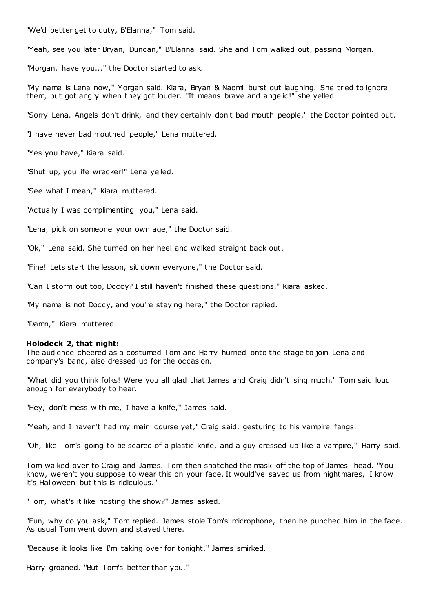"We'd better get to duty, B'Elanna," Tom said.

"Yeah, see you later Bryan, Duncan," B'Elanna said. She and Tom walked out, passing Morgan.

"Morgan, have you..." the Doctor started to ask.

"My name is Lena now," Morgan said. Kiara, Bryan & Naomi burst out laughing. She tried to ignore them, but got angry when they got louder. "It means brave and angelic!" she yelled.

"Sorry Lena. Angels don't drink, and they certainly don't bad mouth people," the Doctor pointed out.

"I have never bad mouthed people," Lena muttered.

"Yes you have," Kiara said.

"Shut up, you life wrecker!" Lena yelled.

"See what I mean," Kiara muttered.

"Actually I was complimenting you," Lena said.

"Lena, pick on someone your own age," the Doctor said.

"Ok," Lena said. She turned on her heel and walked straight back out.

"Fine! Lets start the lesson, sit down everyone," the Doctor said.

"Can I storm out too, Doccy? I still haven't finished these questions," Kiara asked.

"My name is not Doccy, and you're staying here," the Doctor replied.

"Damn," Kiara muttered.

### **Holodeck 2, that night:**

The audience cheered as a costumed Tom and Harry hurried onto the stage to join Lena and company's band, also dressed up for the occasion.

"What did you think folks! Were you all glad that James and Craig didn't sing much," Tom said loud enough for everybody to hear.

"Hey, don't mess with me, I have a knife," James said.

"Yeah, and I haven't had my main course yet," Craig said, gesturing to his vampire fangs.

"Oh, like Tom's going to be scared of a plastic knife, and a guy dressed up like a vampire," Harry said.

Tom walked over to Craig and James. Tom then snatched the mask off the top of James' head. "You know, weren't you suppose to wear this on your face. It would've saved us from nightmares, I know it's Halloween but this is ridiculous."

"Tom, what's it like hosting the show?" James asked.

"Fun, why do you ask," Tom replied. James stole Tom's microphone, then he punched him in the face. As usual Tom went down and stayed there.

"Because it looks like I'm taking over for tonight," James smirked.

Harry groaned. "But Tom's better than you."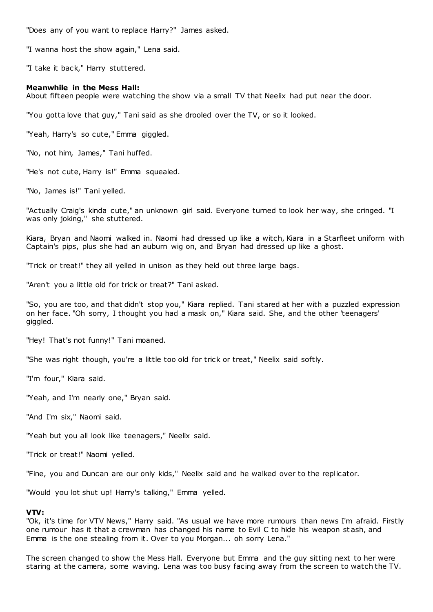"Does any of you want to replace Harry?" James asked.

"I wanna host the show again," Lena said.

"I take it back," Harry stuttered.

# **Meanwhile in the Mess Hall:**

About fifteen people were watching the show via a small TV that Neelix had put near the door.

"You gotta love that guy," Tani said as she drooled over the TV, or so it looked.

"Yeah, Harry's so cute," Emma giggled.

"No, not him, James," Tani huffed.

"He's not cute, Harry is!" Emma squealed.

"No, James is!" Tani yelled.

"Actually Craig's kinda cute," an unknown girl said. Everyone turned to look her way, she cringed. "I was only joking," she stuttered.

Kiara, Bryan and Naomi walked in. Naomi had dressed up like a witch, Kiara in a Starfleet uniform with Captain's pips, plus she had an auburn wig on, and Bryan had dressed up like a ghost.

"Trick or treat!" they all yelled in unison as they held out three large bags.

"Aren't you a little old for trick or treat?" Tani asked.

"So, you are too, and that didn't stop you," Kiara replied. Tani stared at her with a puzzled expression on her face. "Oh sorry, I thought you had a mask on," Kiara said. She, and the other 'teenagers' giggled.

"Hey! That's not funny!" Tani moaned.

"She was right though, you're a little too old for trick or treat," Neelix said softly.

"I'm four," Kiara said.

"Yeah, and I'm nearly one," Bryan said.

"And I'm six," Naomi said.

"Yeah but you all look like teenagers," Neelix said.

"Trick or treat!" Naomi yelled.

"Fine, you and Duncan are our only kids," Neelix said and he walked over to the replicator.

"Would you lot shut up! Harry's talking," Emma yelled.

# **VTV:**

"Ok, it's time for VTV News," Harry said. "As usual we have more rumours than news I'm afraid. Firstly one rumour has it that a crewman has changed his name to Evil C to hide his weapon st ash, and Emma is the one stealing from it. Over to you Morgan... oh sorry Lena."

The screen changed to show the Mess Hall. Everyone but Emma and the guy sitting next to her were staring at the camera, some waving. Lena was too busy facing away from the screen to watch the TV.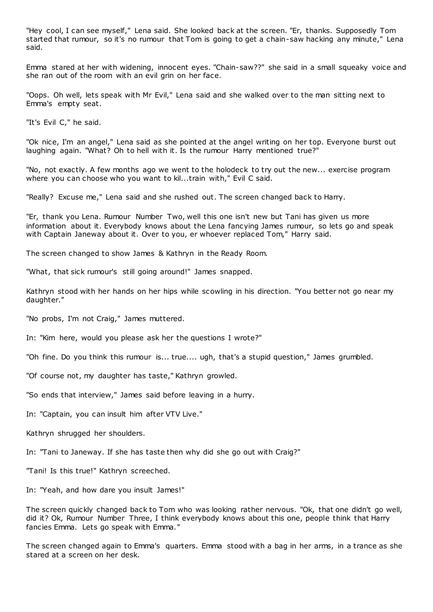"Hey cool, I can see myself," Lena said. She looked back at the screen. "Er, thanks. Supposedly Tom started that rumour, so it's no rumour that Tom is going to get a chain-saw hacking any minute," Lena said.

Emma stared at her with widening, innocent eyes. "Chain-saw??" she said in a small squeaky voice and she ran out of the room with an evil grin on her face.

"Oops. Oh well, lets speak with Mr Evil," Lena said and she walked over to the man sitting next to Emma's empty seat.

"It's Evil C," he said.

"Ok nice, I'm an angel," Lena said as she pointed at the angel writing on her top. Everyone burst out laughing again. "What? Oh to hell with it. Is the rumour Harry mentioned true?"

"No, not exactly. A few months ago we went to the holodeck to try out the new... exercise program where you can choose who you want to kil...train with," Evil C said.

"Really? Excuse me," Lena said and she rushed out. The screen changed back to Harry.

"Er, thank you Lena. Rumour Number Two, well this one isn't new but Tani has given us more information about it. Everybody knows about the Lena fancying James rumour, so lets go and speak with Captain Janeway about it. Over to you, er whoever replaced Tom," Harry said.

The screen changed to show James & Kathryn in the Ready Room.

"What, that sick rumour's still going around!" James snapped.

Kathryn stood with her hands on her hips while scowling in his direction. "You better not go near my daughter."

"No probs, I'm not Craig," James muttered.

In: "Kim here, would you please ask her the questions I wrote?"

"Oh fine. Do you think this rumour is... true.... ugh, that's a stupid question," James grumbled.

"Of course not, my daughter has taste," Kathryn growled.

"So ends that interview," James said before leaving in a hurry.

In: "Captain, you can insult him after VTV Live."

Kathryn shrugged her shoulders.

In: "Tani to Janeway. If she has taste then why did she go out with Craig?"

"Tani! Is this true!" Kathryn screeched.

In: "Yeah, and how dare you insult James!"

The screen quickly changed back to Tom who was looking rather nervous. "Ok, that one didn't go well, did it? Ok, Rumour Number Three, I think everybody knows about this one, people think that Harry fancies Emma. Lets go speak with Emma."

The screen changed again to Emma's quarters. Emma stood with a bag in her arms, in a trance as she stared at a screen on her desk.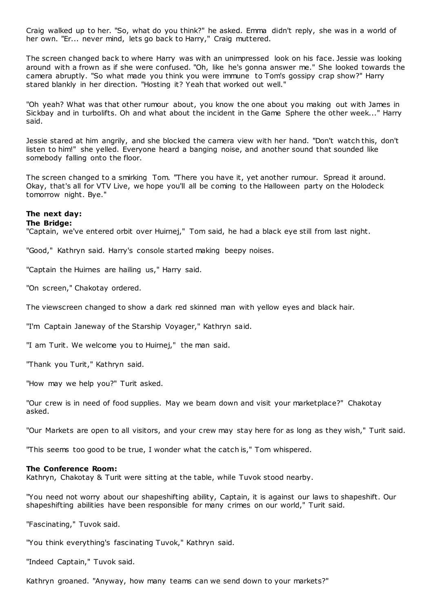Craig walked up to her. "So, what do you think?" he asked. Emma didn't reply, she was in a world of her own. "Er... never mind, lets go back to Harry," Craig muttered.

The screen changed back to where Harry was with an unimpressed look on his face. Jessie was looking around with a frown as if she were confused. "Oh, like he's gonna answer me." She looked towards the camera abruptly. "So what made you think you were immune to Tom's gossipy crap show?" Harry stared blankly in her direction. "Hosting it? Yeah that worked out well."

"Oh yeah? What was that other rumour about, you know the one about you making out with James in Sickbay and in turbolifts. Oh and what about the incident in the Game Sphere the other week..." Harry said.

Jessie stared at him angrily, and she blocked the camera view with her hand. "Don't watch this, don't listen to him!" she yelled. Everyone heard a banging noise, and another sound that sounded like somebody falling onto the floor.

The screen changed to a smirking Tom. "There you have it, yet another rumour. Spread it around. Okay, that's all for VTV Live, we hope you'll all be coming to the Halloween party on the Holodeck tomorrow night. Bye."

# **The next day:**

# **The Bridge:**

"Captain, we've entered orbit over Huirnej," Tom said, he had a black eye still from last night.

"Good," Kathryn said. Harry's console started making beepy noises.

"Captain the Huirnes are hailing us," Harry said.

"On screen," Chakotay ordered.

The viewscreen changed to show a dark red skinned man with yellow eyes and black hair.

"I'm Captain Janeway of the Starship Voyager," Kathryn said.

"I am Turit. We welcome you to Huirnej," the man said.

"Thank you Turit," Kathryn said.

"How may we help you?" Turit asked.

"Our crew is in need of food supplies. May we beam down and visit your marketplace?" Chakotay asked.

"Our Markets are open to all visitors, and your crew may stay here for as long as they wish," Turit said.

"This seems too good to be true, I wonder what the catch is," Tom whispered.

# **The Conference Room:**

Kathryn, Chakotay & Turit were sitting at the table, while Tuvok stood nearby.

"You need not worry about our shapeshifting ability, Captain, it is against our laws to shapeshift. Our shapeshifting abilities have been responsible for many crimes on our world," Turit said.

"Fascinating," Tuvok said.

"You think everything's fascinating Tuvok," Kathryn said.

"Indeed Captain," Tuvok said.

Kathryn groaned. "Anyway, how many teams can we send down to your markets?"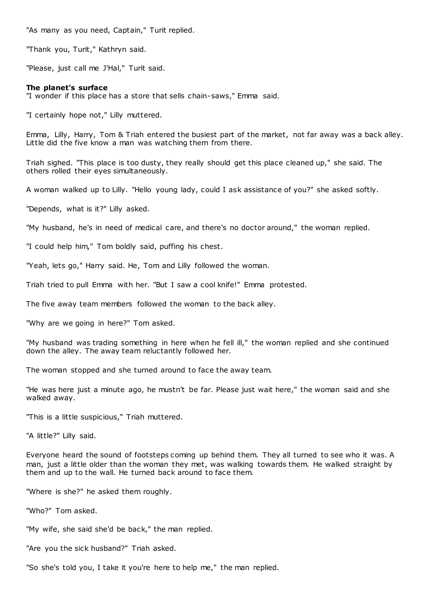"As many as you need, Captain," Turit replied.

"Thank you, Turit," Kathryn said.

"Please, just call me J'Hal," Turit said.

# **The planet's surface**

"I wonder if this place has a store that sells chain-saws," Emma said.

"I certainly hope not," Lilly muttered.

Emma, Lilly, Harry, Tom & Triah entered the busiest part of the market, not far away was a back alley. Little did the five know a man was watching them from there.

Triah sighed. "This place is too dusty, they really should get this place cleaned up," she said. The others rolled their eyes simultaneously.

A woman walked up to Lilly. "Hello young lady, could I ask assistance of you?" she asked softly.

"Depends, what is it?" Lilly asked.

"My husband, he's in need of medical care, and there's no doctor around," the woman replied.

"I could help him," Tom boldly said, puffing his chest.

"Yeah, lets go," Harry said. He, Tom and Lilly followed the woman.

Triah tried to pull Emma with her. "But I saw a cool knife!" Emma protested.

The five away team members followed the woman to the back alley.

"Why are we going in here?" Tom asked.

"My husband was trading something in here when he fell ill," the woman replied and she continued down the alley. The away team reluctantly followed her.

The woman stopped and she turned around to face the away team.

"He was here just a minute ago, he mustn't be far. Please just wait here," the woman said and she walked away.

"This is a little suspicious," Triah muttered.

"A little?" Lilly said.

Everyone heard the sound of footsteps coming up behind them. They all turned to see who it was. A man, just a little older than the woman they met, was walking towards them. He walked straight by them and up to the wall. He turned back around to face them.

"Where is she?" he asked them roughly.

"Who?" Tom asked.

"My wife, she said she'd be back," the man replied.

"Are you the sick husband?" Triah asked.

"So she's told you, I take it you're here to help me," the man replied.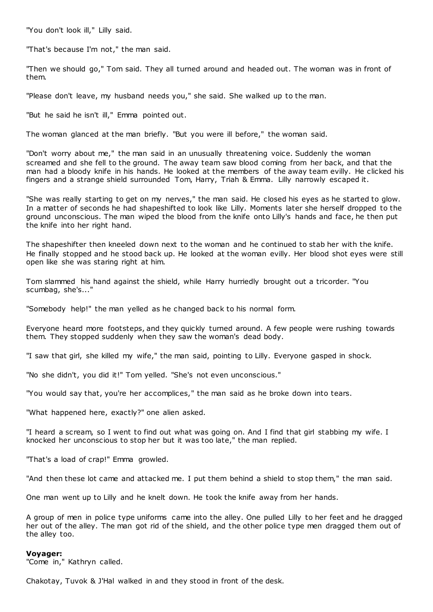"You don't look ill," Lilly said.

"That's because I'm not," the man said.

"Then we should go," Tom said. They all turned around and headed out. The woman was in front of them.

"Please don't leave, my husband needs you," she said. She walked up to the man.

"But he said he isn't ill," Emma pointed out.

The woman glanced at the man briefly. "But you were ill before," the woman said.

"Don't worry about me," the man said in an unusually threatening voice. Suddenly the woman screamed and she fell to the ground. The away team saw blood coming from her back, and that the man had a bloody knife in his hands. He looked at the members of the away team evilly. He clicked his fingers and a strange shield surrounded Tom, Harry, Triah & Emma. Lilly narrowly escaped it.

"She was really starting to get on my nerves," the man said. He closed his eyes as he started to glow. In a matter of seconds he had shapeshifted to look like Lilly. Moments later she herself dropped to the ground unconscious. The man wiped the blood from the knife onto Lilly's hands and face, he then put the knife into her right hand.

The shapeshifter then kneeled down next to the woman and he continued to stab her with the knife. He finally stopped and he stood back up. He looked at the woman evilly. Her blood shot eyes were still open like she was staring right at him.

Tom slammed his hand against the shield, while Harry hurriedly brought out a tricorder. "You scumbag, she's..."

"Somebody help!" the man yelled as he changed back to his normal form.

Everyone heard more footsteps, and they quickly turned around. A few people were rushing towards them. They stopped suddenly when they saw the woman's dead body.

"I saw that girl, she killed my wife," the man said, pointing to Lilly. Everyone gasped in shock.

"No she didn't, you did it!" Tom yelled. "She's not even unconscious."

"You would say that, you're her accomplices," the man said as he broke down into tears.

"What happened here, exactly?" one alien asked.

"I heard a scream, so I went to find out what was going on. And I find that girl stabbing my wife. I knocked her unconscious to stop her but it was too late," the man replied.

"That's a load of crap!" Emma growled.

"And then these lot came and attacked me. I put them behind a shield to stop them," the man said.

One man went up to Lilly and he knelt down. He took the knife away from her hands.

A group of men in police type uniforms came into the alley. One pulled Lilly to her feet and he dragged her out of the alley. The man got rid of the shield, and the other police type men dragged them out of the alley too.

### **Voyager:**

"Come in," Kathryn called.

Chakotay, Tuvok & J'Hal walked in and they stood in front of the desk.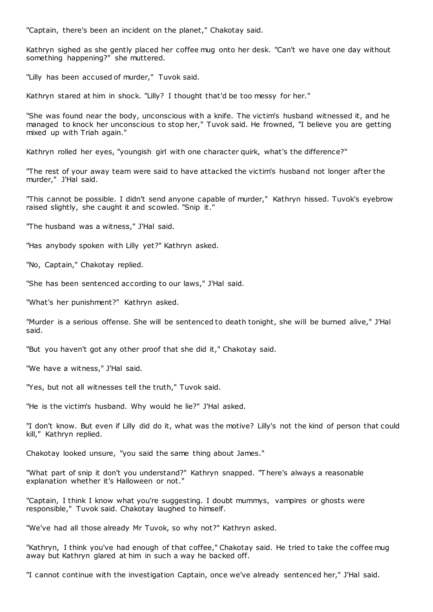"Captain, there's been an incident on the planet," Chakotay said.

Kathryn sighed as she gently placed her coffee mug onto her desk. "Can't we have one day without something happening?" she muttered.

"Lilly has been accused of murder," Tuvok said.

Kathryn stared at him in shock. "Lilly? I thought that'd be too messy for her."

"She was found near the body, unconscious with a knife. The victim's husband witnessed it, and he managed to knock her unconscious to stop her," Tuvok said. He frowned, "I believe you are getting mixed up with Triah again."

Kathryn rolled her eyes, "youngish girl with one character quirk, what's the difference?"

"The rest of your away team were said to have attacked the victim's husband not longer after the murder," J'Hal said.

"This cannot be possible. I didn't send anyone capable of murder," Kathryn hissed. Tuvok's eyebrow raised slightly, she caught it and scowled. "Snip it."

"The husband was a witness," J'Hal said.

"Has anybody spoken with Lilly yet?" Kathryn asked.

"No, Captain," Chakotay replied.

"She has been sentenced according to our laws," J'Hal said.

"What's her punishment?" Kathryn asked.

"Murder is a serious offense. She will be sentenced to death tonight, she will be burned alive," J'Hal said.

"But you haven't got any other proof that she did it," Chakotay said.

"We have a witness," J'Hal said.

"Yes, but not all witnesses tell the truth," Tuvok said.

"He is the victim's husband. Why would he lie?" J'Hal asked.

"I don't know. But even if Lilly did do it, what was the motive? Lilly's not the kind of person that could kill," Kathryn replied.

Chakotay looked unsure, "you said the same thing about James."

"What part of snip it don't you understand?" Kathryn snapped. "There's always a reasonable explanation whether it's Halloween or not."

"Captain, I think I know what you're suggesting. I doubt mummys, vampires or ghosts were responsible," Tuvok said. Chakotay laughed to himself.

"We've had all those already Mr Tuvok, so why not?" Kathryn asked.

"Kathryn, I think you've had enough of that coffee," Chakotay said. He tried to take the coffee mug away but Kathryn glared at him in such a way he backed off.

"I cannot continue with the investigation Captain, once we've already sentenced her," J'Hal said.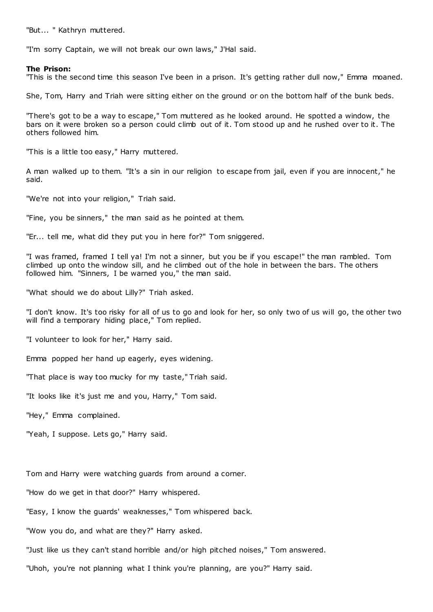"But... " Kathryn muttered.

"I'm sorry Captain, we will not break our own laws," J'Hal said.

### **The Prison:**

"This is the second time this season I've been in a prison. It's getting rather dull now," Emma moaned.

She, Tom, Harry and Triah were sitting either on the ground or on the bottom half of the bunk beds.

"There's got to be a way to escape," Tom muttered as he looked around. He spotted a window, the bars on it were broken so a person could climb out of it. Tom stood up and he rushed over to it. The others followed him.

"This is a little too easy," Harry muttered.

A man walked up to them. "It's a sin in our religion to escape from jail, even if you are innocent," he said.

"We're not into your religion," Triah said.

"Fine, you be sinners," the man said as he pointed at them.

"Er... tell me, what did they put you in here for?" Tom sniggered.

"I was framed, framed I tell ya! I'm not a sinner, but you be if you escape!" the man rambled. Tom climbed up onto the window sill, and he climbed out of the hole in between the bars. The others followed him. "Sinners, I be warned you," the man said.

"What should we do about Lilly?" Triah asked.

"I don't know. It's too risky for all of us to go and look for her, so only two of us will go, the other two will find a temporary hiding place," Tom replied.

"I volunteer to look for her," Harry said.

Emma popped her hand up eagerly, eyes widening.

"That place is way too mucky for my taste," Triah said.

"It looks like it's just me and you, Harry," Tom said.

"Hey," Emma complained.

"Yeah, I suppose. Lets go," Harry said.

Tom and Harry were watching guards from around a corner.

"How do we get in that door?" Harry whispered.

"Easy, I know the guards' weaknesses," Tom whispered back.

"Wow you do, and what are they?" Harry asked.

"Just like us they can't stand horrible and/or high pitched noises," Tom answered.

"Uhoh, you're not planning what I think you're planning, are you?" Harry said.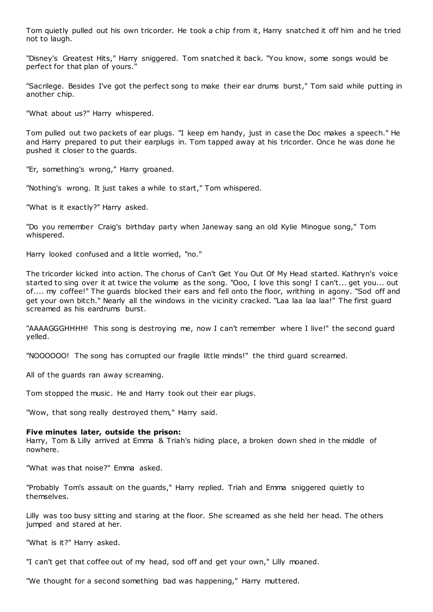Tom quietly pulled out his own tricorder. He took a chip from it, Harry snatched it off him and he tried not to laugh.

"Disney's Greatest Hits," Harry sniggered. Tom snatched it back. "You know, some songs would be perfect for that plan of yours."

"Sacrilege. Besides I've got the perfect song to make their ear drums burst," Tom said while putting in another chip.

"What about us?" Harry whispered.

Tom pulled out two packets of ear plugs. "I keep em handy, just in case the Doc makes a speech." He and Harry prepared to put their earplugs in. Tom tapped away at his tricorder. Once he was done he pushed it closer to the guards.

"Er, something's wrong," Harry groaned.

"Nothing's wrong. It just takes a while to start," Tom whispered.

"What is it exactly?" Harry asked.

"Do you remember Craig's birthday party when Janeway sang an old Kylie Minogue song," Tom whispered.

Harry looked confused and a little worried, "no."

The tricorder kicked into action. The chorus of Can't Get You Out Of My Head started. Kathryn's voice started to sing over it at twice the volume as the song. "Ooo, I love this song! I can't... get you... out of.... my coffee!" The guards blocked their ears and fell onto the floor, writhing in agony. "Sod off and get your own bitch." Nearly all the windows in the vicinity cracked. "Laa laa laa laa!" The first guard screamed as his eardrums burst.

"AAAAGGGHHHH! This song is destroying me, now I can't remember where I live!" the second guard yelled.

"NOOOOOO! The song has corrupted our fragile little minds!" the third guard screamed.

All of the guards ran away screaming.

Tom stopped the music. He and Harry took out their ear plugs.

"Wow, that song really destroyed them," Harry said.

# **Five minutes later, outside the prison:**

Harry, Tom & Lilly arrived at Emma & Triah's hiding place, a broken down shed in the middle of nowhere.

"What was that noise?" Emma asked.

"Probably Tom's assault on the guards," Harry replied. Triah and Emma sniggered quietly to themselves.

Lilly was too busy sitting and staring at the floor. She screamed as she held her head. The others jumped and stared at her.

"What is it?" Harry asked.

"I can't get that coffee out of my head, sod off and get your own," Lilly moaned.

"We thought for a second something bad was happening," Harry muttered.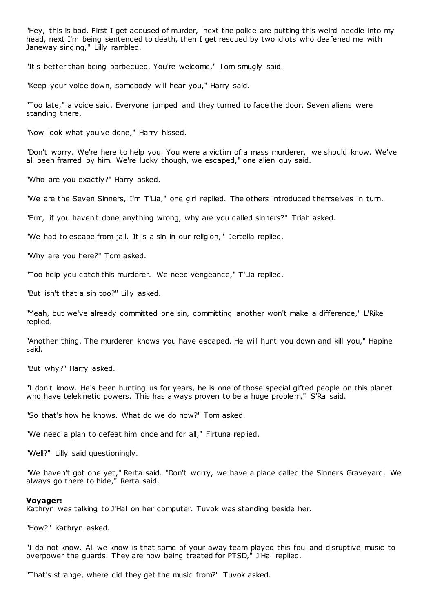"Hey, this is bad. First I get accused of murder, next the police are putting this weird needle into my head, next I'm being sentenced to death, then I get rescued by two idiots who deafened me with Janeway singing," Lilly rambled.

"It's better than being barbecued. You're welcome," Tom smugly said.

"Keep your voice down, somebody will hear you," Harry said.

"Too late," a voice said. Everyone jumped and they turned to face the door. Seven aliens were standing there.

"Now look what you've done," Harry hissed.

"Don't worry. We're here to help you. You were a victim of a mass murderer, we should know. We've all been framed by him. We're lucky though, we escaped," one alien guy said.

"Who are you exactly?" Harry asked.

"We are the Seven Sinners, I'm T'Lia," one girl replied. The others introduced themselves in turn.

"Erm, if you haven't done anything wrong, why are you called sinners?" Triah asked.

"We had to escape from jail. It is a sin in our religion," Jertella replied.

"Why are you here?" Tom asked.

"Too help you catch this murderer. We need vengeance," T'Lia replied.

"But isn't that a sin too?" Lilly asked.

"Yeah, but we've already committed one sin, committing another won't make a difference," L'Rike replied.

"Another thing. The murderer knows you have escaped. He will hunt you down and kill you," Hapine said.

"But why?" Harry asked.

"I don't know. He's been hunting us for years, he is one of those special gifted people on this planet who have telekinetic powers. This has always proven to be a huge problem," S'Ra said.

"So that's how he knows. What do we do now?" Tom asked.

"We need a plan to defeat him once and for all," Firtuna replied.

"Well?" Lilly said questioningly.

"We haven't got one yet," Rerta said. "Don't worry, we have a place called the Sinners Graveyard. We always go there to hide," Rerta said.

#### **Voyager:**

Kathryn was talking to J'Hal on her computer. Tuvok was standing beside her.

"How?" Kathryn asked.

"I do not know. All we know is that some of your away team played this foul and disruptive music to overpower the guards. They are now being treated for PTSD," J'Hal replied.

"That's strange, where did they get the music from?" Tuvok asked.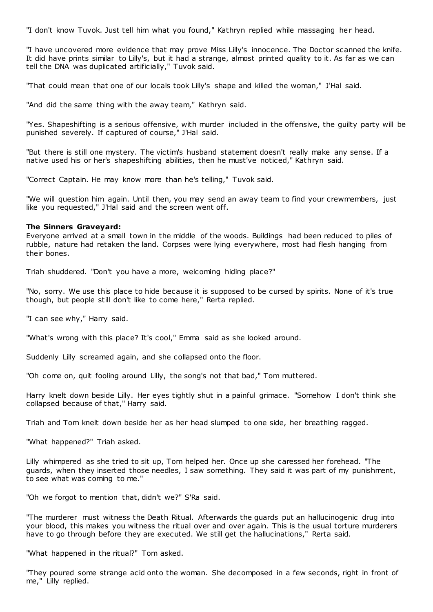"I don't know Tuvok. Just tell him what you found," Kathryn replied while massaging her head.

"I have uncovered more evidence that may prove Miss Lilly's innocence. The Doctor scanned the knife. It did have prints similar to Lilly's, but it had a strange, almost printed quality to it. As far as we can tell the DNA was duplicated artificially," Tuvok said.

"That could mean that one of our locals took Lilly's shape and killed the woman," J'Hal said.

"And did the same thing with the away team," Kathryn said.

"Yes. Shapeshifting is a serious offensive, with murder included in the offensive, the guilty party will be punished severely. If captured of course," J'Hal said.

"But there is still one mystery. The victim's husband statement doesn't really make any sense. If a native used his or her's shapeshifting abilities, then he must've noticed," Kathryn said.

"Correct Captain. He may know more than he's telling," Tuvok said.

"We will question him again. Until then, you may send an away team to find your crewmembers, just like you requested," J'Hal said and the screen went off.

# **The Sinners Graveyard:**

Everyone arrived at a small town in the middle of the woods. Buildings had been reduced to piles of rubble, nature had retaken the land. Corpses were lying everywhere, most had flesh hanging from their bones.

Triah shuddered. "Don't you have a more, welcoming hiding place?"

"No, sorry. We use this place to hide because it is supposed to be cursed by spirits. None of it's true though, but people still don't like to come here," Rerta replied.

"I can see why," Harry said.

"What's wrong with this place? It's cool," Emma said as she looked around.

Suddenly Lilly screamed again, and she collapsed onto the floor.

"Oh come on, quit fooling around Lilly, the song's not that bad," Tom muttered.

Harry knelt down beside Lilly. Her eyes tightly shut in a painful grimace. "Somehow I don't think she collapsed because of that," Harry said.

Triah and Tom knelt down beside her as her head slumped to one side, her breathing ragged.

"What happened?" Triah asked.

Lilly whimpered as she tried to sit up, Tom helped her. Once up she caressed her forehead. "The guards, when they inserted those needles, I saw something. They said it was part of my punishment, to see what was coming to me."

"Oh we forgot to mention that, didn't we?" S'Ra said.

"The murderer must witness the Death Ritual. Afterwards the guards put an hallucinogenic drug into your blood, this makes you witness the ritual over and over again. This is the usual torture murderers have to go through before they are executed. We still get the hallucinations," Rerta said.

"What happened in the ritual?" Tom asked.

"They poured some strange acid onto the woman. She decomposed in a few seconds, right in front of me," Lilly replied.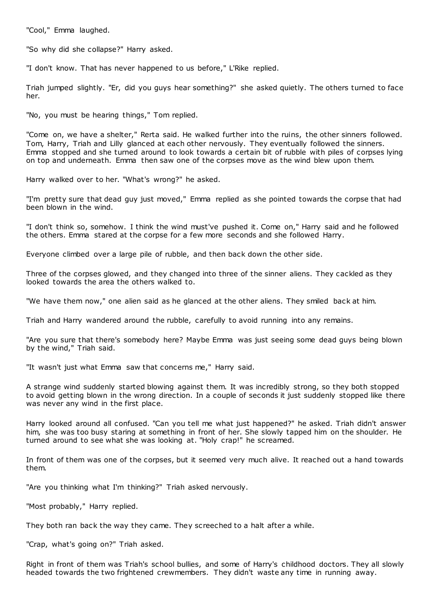"Cool," Emma laughed.

"So why did she collapse?" Harry asked.

"I don't know. That has never happened to us before," L'Rike replied.

Triah jumped slightly. "Er, did you guys hear something?" she asked quietly. The others turned to face her.

"No, you must be hearing things," Tom replied.

"Come on, we have a shelter," Rerta said. He walked further into the ruins, the other sinners followed. Tom, Harry, Triah and Lilly glanced at each other nervously. They eventually followed the sinners. Emma stopped and she turned around to look towards a certain bit of rubble with piles of corpses lying on top and underneath. Emma then saw one of the corpses move as the wind blew upon them.

Harry walked over to her. "What's wrong?" he asked.

"I'm pretty sure that dead guy just moved," Emma replied as she pointed towards the corpse that had been blown in the wind.

"I don't think so, somehow. I think the wind must've pushed it. Come on," Harry said and he followed the others. Emma stared at the corpse for a few more seconds and she followed Harry.

Everyone climbed over a large pile of rubble, and then back down the other side.

Three of the corpses glowed, and they changed into three of the sinner aliens. They cackled as they looked towards the area the others walked to.

"We have them now," one alien said as he glanced at the other aliens. They smiled back at him.

Triah and Harry wandered around the rubble, carefully to avoid running into any remains.

"Are you sure that there's somebody here? Maybe Emma was just seeing some dead guys being blown by the wind," Triah said.

"It wasn't just what Emma saw that concerns me," Harry said.

A strange wind suddenly started blowing against them. It was incredibly strong, so they both stopped to avoid getting blown in the wrong direction. In a couple of seconds it just suddenly stopped like there was never any wind in the first place.

Harry looked around all confused. "Can you tell me what just happened?" he asked. Triah didn't answer him, she was too busy staring at something in front of her. She slowly tapped him on the shoulder. He turned around to see what she was looking at. "Holy crap!" he screamed.

In front of them was one of the corpses, but it seemed very much alive. It reached out a hand towards them.

"Are you thinking what I'm thinking?" Triah asked nervously.

"Most probably," Harry replied.

They both ran back the way they came. They screeched to a halt after a while.

"Crap, what's going on?" Triah asked.

Right in front of them was Triah's school bullies, and some of Harry's childhood doctors. They all slowly headed towards the two frightened crewmembers. They didn't waste any time in running away.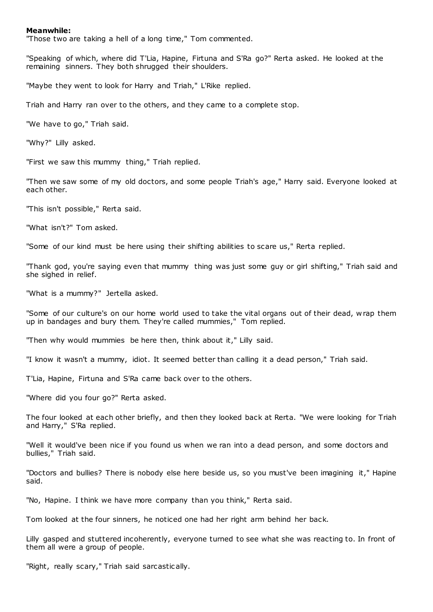# **Meanwhile:**

"Those two are taking a hell of a long time," Tom commented.

"Speaking of which, where did T'Lia, Hapine, Firtuna and S'Ra go?" Rerta asked. He looked at the remaining sinners. They both shrugged their shoulders.

"Maybe they went to look for Harry and Triah," L'Rike replied.

Triah and Harry ran over to the others, and they came to a complete stop.

"We have to go," Triah said.

"Why?" Lilly asked.

"First we saw this mummy thing," Triah replied.

"Then we saw some of my old doctors, and some people Triah's age," Harry said. Everyone looked at each other.

"This isn't possible," Rerta said.

"What isn't?" Tom asked.

"Some of our kind must be here using their shifting abilities to scare us," Rerta replied.

"Thank god, you're saying even that mummy thing was just some guy or girl shifting," Triah said and she sighed in relief.

"What is a mummy?" Jertella asked.

"Some of our culture's on our home world used to take the vital organs out of their dead, w rap them up in bandages and bury them. They're called mummies," Tom replied.

"Then why would mummies be here then, think about it," Lilly said.

"I know it wasn't a mummy, idiot. It seemed better than calling it a dead person," Triah said.

T'Lia, Hapine, Firtuna and S'Ra came back over to the others.

"Where did you four go?" Rerta asked.

The four looked at each other briefly, and then they looked back at Rerta. "We were looking for Triah and Harry," S'Ra replied.

"Well it would've been nice if you found us when we ran into a dead person, and some doctors and bullies," Triah said.

"Doctors and bullies? There is nobody else here beside us, so you must've been imagining it," Hapine said.

"No, Hapine. I think we have more company than you think," Rerta said.

Tom looked at the four sinners, he noticed one had her right arm behind her back.

Lilly gasped and stuttered incoherently, everyone turned to see what she was reacting to. In front of them all were a group of people.

"Right, really scary," Triah said sarcastically.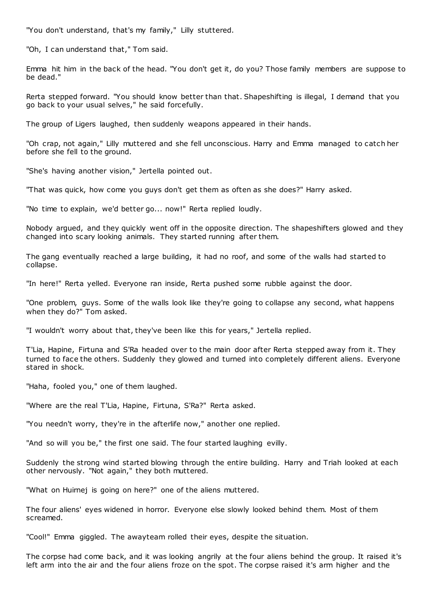"You don't understand, that's my family," Lilly stuttered.

"Oh, I can understand that," Tom said.

Emma hit him in the back of the head. "You don't get it, do you? Those family members are suppose to be dead."

Rerta stepped forward. "You should know better than that. Shapeshifting is illegal, I demand that you go back to your usual selves," he said forcefully.

The group of Ligers laughed, then suddenly weapons appeared in their hands.

"Oh crap, not again," Lilly muttered and she fell unconscious. Harry and Emma managed to catch her before she fell to the ground.

"She's having another vision," Jertella pointed out.

"That was quick, how come you guys don't get them as often as she does?" Harry asked.

"No time to explain, we'd better go... now!" Rerta replied loudly.

Nobody argued, and they quickly went off in the opposite direction. The shapeshifters glowed and they changed into scary looking animals. They started running after them.

The gang eventually reached a large building, it had no roof, and some of the walls had started to collapse.

"In here!" Rerta yelled. Everyone ran inside, Rerta pushed some rubble against the door.

"One problem, guys. Some of the walls look like they're going to collapse any second, what happens when they do?" Tom asked.

"I wouldn't worry about that, they've been like this for years," Jertella replied.

T'Lia, Hapine, Firtuna and S'Ra headed over to the main door after Rerta stepped away from it. They turned to face the others. Suddenly they glowed and turned into completely different aliens. Everyone stared in shock.

"Haha, fooled you," one of them laughed.

"Where are the real T'Lia, Hapine, Firtuna, S'Ra?" Rerta asked.

"You needn't worry, they're in the afterlife now," another one replied.

"And so will you be," the first one said. The four started laughing evilly.

Suddenly the strong wind started blowing through the entire building. Harry and Triah looked at each other nervously. "Not again," they both muttered.

"What on Huirnej is going on here?" one of the aliens muttered.

The four aliens' eyes widened in horror. Everyone else slowly looked behind them. Most of them screamed.

"Cool!" Emma giggled. The awayteam rolled their eyes, despite the situation.

The corpse had come back, and it was looking angrily at the four aliens behind the group. It raised it's left arm into the air and the four aliens froze on the spot. The corpse raised it's arm higher and the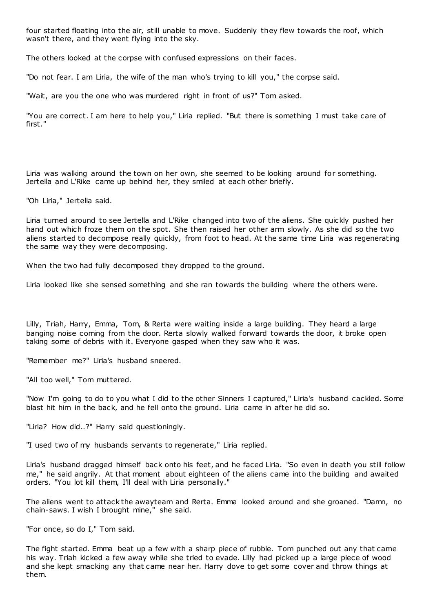four started floating into the air, still unable to move. Suddenly they flew towards the roof, which wasn't there, and they went flying into the sky.

The others looked at the corpse with confused expressions on their faces.

"Do not fear. I am Liria, the wife of the man who's trying to kill you," the corpse said.

"Wait, are you the one who was murdered right in front of us?" Tom asked.

"You are correct. I am here to help you," Liria replied. "But there is something I must take care of first."

Liria was walking around the town on her own, she seemed to be looking around for something. Jertella and L'Rike came up behind her, they smiled at each other briefly.

"Oh Liria," Jertella said.

Liria turned around to see Jertella and L'Rike changed into two of the aliens. She quickly pushed her hand out which froze them on the spot. She then raised her other arm slowly. As she did so the two aliens started to decompose really quickly, from foot to head. At the same time Liria was regenerating the same way they were decomposing.

When the two had fully decomposed they dropped to the ground.

Liria looked like she sensed something and she ran towards the building where the others were.

Lilly, Triah, Harry, Emma, Tom, & Rerta were waiting inside a large building. They heard a large banging noise coming from the door. Rerta slowly walked forward towards the door, it broke open taking some of debris with it. Everyone gasped when they saw who it was.

"Remember me?" Liria's husband sneered.

"All too well," Tom muttered.

"Now I'm going to do to you what I did to the other Sinners I captured," Liria's husband cackled. Some blast hit him in the back, and he fell onto the ground. Liria came in after he did so.

"Liria? How did..?" Harry said questioningly.

"I used two of my husbands servants to regenerate," Liria replied.

Liria's husband dragged himself back onto his feet, and he faced Liria. "So even in death you still follow me," he said angrily. At that moment about eighteen of the aliens came into the building and awaited orders. "You lot kill them, I'll deal with Liria personally."

The aliens went to attack the awayteam and Rerta. Emma looked around and she groaned. "Damn, no chain-saws. I wish I brought mine," she said.

"For once, so do I," Tom said.

The fight started. Emma beat up a few with a sharp piece of rubble. Tom punched out any that came his way. Triah kicked a few away while she tried to evade. Lilly had picked up a large piece of wood and she kept smacking any that came near her. Harry dove to get some cover and throw things at them.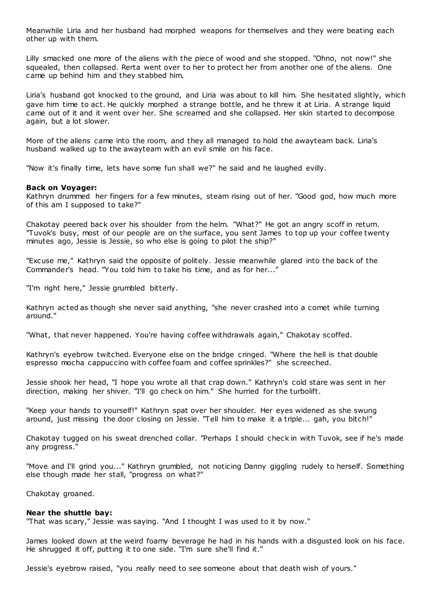Meanwhile Liria and her husband had morphed weapons for themselves and they were beating each other up with them.

Lilly smacked one more of the aliens with the piece of wood and she stopped. "Ohno, not now!" she squealed, then collapsed. Rerta went over to her to protect her from another one of the aliens. One came up behind him and they stabbed him.

Liria's husband got knocked to the ground, and Liria was about to kill him. She hesitated slightly, which gave him time to act. He quickly morphed a strange bottle, and he threw it at Liria. A strange liquid came out of it and it went over her. She screamed and she collapsed. Her skin started to decompose again, but a lot slower.

More of the aliens came into the room, and they all managed to hold the awayteam back. Liria's husband walked up to the awayteam with an evil smile on his face.

"Now it's finally time, lets have some fun shall we?" he said and he laughed evilly.

# **Back on Voyager:**

Kathryn drummed her fingers for a few minutes, steam rising out of her. "Good god, how much more of this am I supposed to take?"

Chakotay peered back over his shoulder from the helm. "What?" He got an angry scoff in return. "Tuvok's busy, most of our people are on the surface, you sent James to top up your coffee twenty minutes ago, Jessie is Jessie, so who else is going to pilot the ship?"

"Excuse me," Kathryn said the opposite of politely. Jessie meanwhile glared into the back of the Commander's head. "You told him to take his time, and as for her..."

"I'm right here," Jessie grumbled bitterly.

Kathryn acted as though she never said anything, "she never crashed into a comet while turning around."

"What, that never happened. You're having coffee withdrawals again," Chakotay scoffed.

Kathryn's eyebrow twitched. Everyone else on the bridge cringed. "Where the hell is that double espresso mocha cappuccino with coffee foam and coffee sprinkles?" she screeched.

Jessie shook her head, "I hope you wrote all that crap down." Kathryn's cold stare was sent in her direction, making her shiver. "I'll go check on him." She hurried for the turbolift.

"Keep your hands to yourself!" Kathryn spat over her shoulder. Her eyes widened as she swung around, just missing the door closing on Jessie. "Tell him to make it a triple... gah, you bitch!"

Chakotay tugged on his sweat drenched collar. "Perhaps I should check in with Tuvok, see if he's made any progress."

"Move and I'll grind you..." Kathryn grumbled, not noticing Danny giggling rudely to herself. Something else though made her stall, "progress on what?"

Chakotay groaned.

### **Near the shuttle bay:**

"That was scary," Jessie was saying. "And I thought I was used to it by now."

James looked down at the weird foamy beverage he had in his hands with a disgusted look on his face. He shrugged it off, putting it to one side. "I'm sure she'll find it."

Jessie's eyebrow raised, "you really need to see someone about that death wish of yours."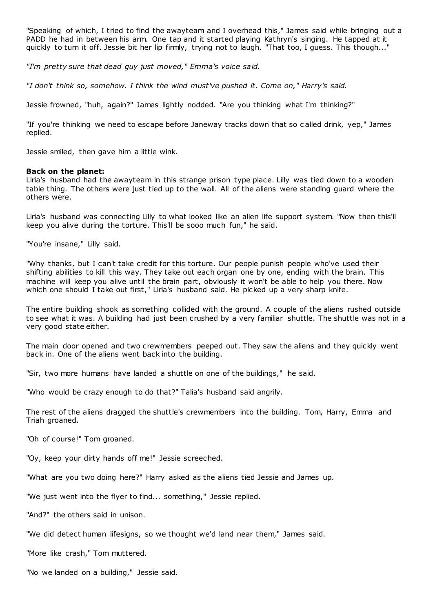"Speaking of which, I tried to find the awayteam and I overhead this," James said while bringing out a PADD he had in between his arm. One tap and it started playing Kathryn's singing. He tapped at it quickly to turn it off. Jessie bit her lip firmly, trying not to laugh. "That too, I guess. This though..."

*"I'm pretty sure that dead guy just moved," Emma's voice said.*

*"I don't think so, somehow. I think the wind must've pushed it. Come on," Harry's said.*

Jessie frowned, "huh, again?" James lightly nodded. "Are you thinking what I'm thinking?"

"If you're thinking we need to escape before Janeway tracks down that so c alled drink, yep," James replied.

Jessie smiled, then gave him a little wink.

# **Back on the planet:**

Liria's husband had the awayteam in this strange prison type place. Lilly was tied down to a wooden table thing. The others were just tied up to the wall. All of the aliens were standing guard where the others were.

Liria's husband was connecting Lilly to what looked like an alien life support system. "Now then this'll keep you alive during the torture. This'll be sooo much fun," he said.

"You're insane," Lilly said.

"Why thanks, but I can't take credit for this torture. Our people punish people who've used their shifting abilities to kill this way. They take out each organ one by one, ending with the brain. This machine will keep you alive until the brain part, obviously it won't be able to help you there. Now which one should I take out first," Liria's husband said. He picked up a very sharp knife.

The entire building shook as something collided with the ground. A couple of the aliens rushed outside to see what it was. A building had just been crushed by a very familiar shuttle. The shuttle was not in a very good state either.

The main door opened and two crewmembers peeped out. They saw the aliens and they quickly went back in. One of the aliens went back into the building.

"Sir, two more humans have landed a shuttle on one of the buildings," he said.

"Who would be crazy enough to do that?" Talia's husband said angrily.

The rest of the aliens dragged the shuttle's crewmembers into the building. Tom, Harry, Emma and Triah groaned.

"Oh of course!" Tom groaned.

"Oy, keep your dirty hands off me!" Jessie screeched.

"What are you two doing here?" Harry asked as the aliens tied Jessie and James up.

"We just went into the flyer to find... something," Jessie replied.

"And?" the others said in unison.

"We did detect human lifesigns, so we thought we'd land near them," James said.

"More like crash," Tom muttered.

"No we landed on a building," Jessie said.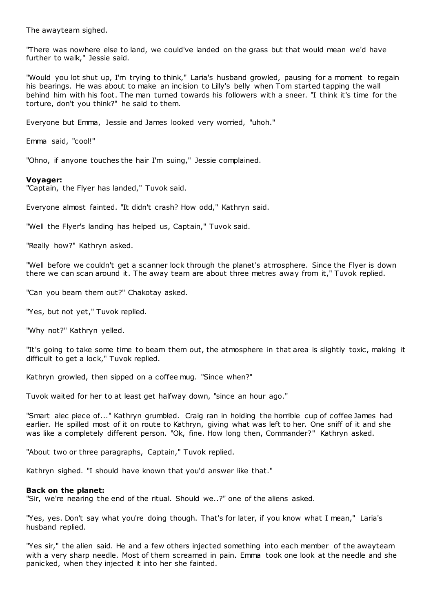The awayteam sighed.

"There was nowhere else to land, we could've landed on the grass but that would mean we'd have further to walk," Jessie said.

"Would you lot shut up, I'm trying to think," Laria's husband growled, pausing for a moment to regain his bearings. He was about to make an incision to Lilly's belly when Tom started tapping the wall behind him with his foot. The man turned towards his followers with a sneer. "I think it's time for the torture, don't you think?" he said to them.

Everyone but Emma, Jessie and James looked very worried, "uhoh."

Emma said, "cool!"

"Ohno, if anyone touches the hair I'm suing," Jessie complained.

# **Voyager:**

"Captain, the Flyer has landed," Tuvok said.

Everyone almost fainted. "It didn't crash? How odd," Kathryn said.

"Well the Flyer's landing has helped us, Captain," Tuvok said.

"Really how?" Kathryn asked.

"Well before we couldn't get a scanner lock through the planet's atmosphere. Since the Flyer is down there we can scan around it. The away team are about three metres away from it," Tuvok replied.

"Can you beam them out?" Chakotay asked.

"Yes, but not yet," Tuvok replied.

"Why not?" Kathryn yelled.

"It's going to take some time to beam them out, the atmosphere in that area is slightly toxic , making it difficult to get a lock," Tuvok replied.

Kathryn growled, then sipped on a coffee mug. "Since when?"

Tuvok waited for her to at least get halfway down, "since an hour ago."

"Smart alec piece of..." Kathryn grumbled. Craig ran in holding the horrible cup of coffee James had earlier. He spilled most of it on route to Kathryn, giving what was left to her. One sniff of it and she was like a completely different person. "Ok, fine. How long then, Commander?" Kathryn asked.

"About two or three paragraphs, Captain," Tuvok replied.

Kathryn sighed. "I should have known that you'd answer like that."

# **Back on the planet:**

"Sir, we're nearing the end of the ritual. Should we..?" one of the aliens asked.

"Yes, yes. Don't say what you're doing though. That's for later, if you know what I mean," Laria's husband replied.

"Yes sir," the alien said. He and a few others injected something into each member of the awayteam with a very sharp needle. Most of them screamed in pain. Emma took one look at the needle and she panicked, when they injected it into her she fainted.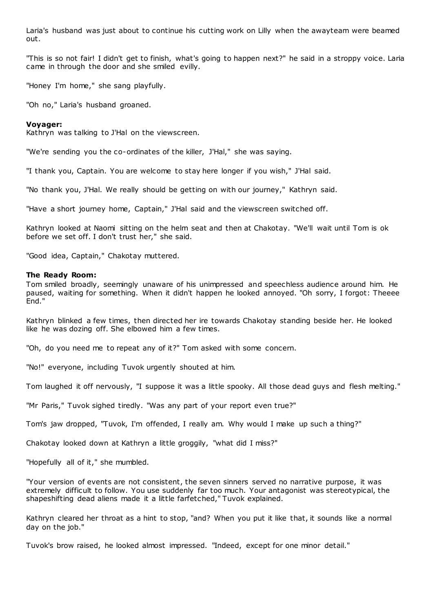Laria's husband was just about to continue his cutting work on Lilly when the awayteam were beamed out.

"This is so not fair! I didn't get to finish, what's going to happen next?" he said in a stroppy voice. Laria came in through the door and she smiled evilly.

"Honey I'm home," she sang playfully.

"Oh no," Laria's husband groaned.

# **Voyager:**

Kathryn was talking to J'Hal on the viewscreen.

"We're sending you the co-ordinates of the killer, J'Hal," she was saying.

"I thank you, Captain. You are welcome to stay here longer if you wish," J'Hal said.

"No thank you, J'Hal. We really should be getting on with our journey," Kathryn said.

"Have a short journey home, Captain," J'Hal said and the viewscreen switched off.

Kathryn looked at Naomi sitting on the helm seat and then at Chakotay. "We'll wait until Tom is ok before we set off. I don't trust her," she said.

"Good idea, Captain," Chakotay muttered.

### **The Ready Room:**

Tom smiled broadly, seemingly unaware of his unimpressed and speechless audience around him. He paused, waiting for something. When it didn't happen he looked annoyed. "Oh sorry, I forgot: Theeee End."

Kathryn blinked a few times, then directed her ire towards Chakotay standing beside her. He looked like he was dozing off. She elbowed him a few times.

"Oh, do you need me to repeat any of it?" Tom asked with some concern.

"No!" everyone, including Tuvok urgently shouted at him.

Tom laughed it off nervously, "I suppose it was a little spooky. All those dead guys and flesh melting."

"Mr Paris," Tuvok sighed tiredly. "Was any part of your report even true?"

Tom's jaw dropped, "Tuvok, I'm offended, I really am. Why would I make up such a thing?"

Chakotay looked down at Kathryn a little groggily, "what did I miss?"

"Hopefully all of it," she mumbled.

"Your version of events are not consistent, the seven sinners served no narrative purpose, it was extremely difficult to follow. You use suddenly far too much. Your antagonist was stereotypical, the shapeshifting dead aliens made it a little farfetched," Tuvok explained.

Kathryn cleared her throat as a hint to stop, "and? When you put it like that, it sounds like a normal day on the job."

Tuvok's brow raised, he looked almost impressed. "Indeed, except for one minor detail."